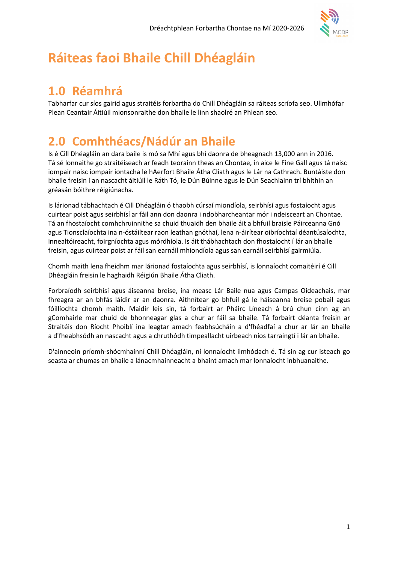

# Ráiteas faoi Bhaile Chill Dhéagláin

# 1.0 Réamhrá

Tabharfar cur síos gairid agus straitéis forbartha do Chill Dhéagláin sa ráiteas scríofa seo. Ullmhófar Plean Ceantair Áitiúil mionsonraithe don bhaile le linn shaolré an Phlean seo.

# 2.0 Comhthéacs/Nádúr an Bhaile

Is é Cill Dhéagláin an dara baile is mó sa Mhí agus bhí daonra de bheagnach 13,000 ann in 2016. Tá sé lonnaithe go straitéiseach ar feadh teorainn theas an Chontae, in aice le Fine Gall agus tá naisc iompair naisc iompair iontacha le hAerfort Bhaile Átha Cliath agus le Lár na Cathrach. Buntáiste don bhaile freisin í an nascacht áitiúil le Ráth Tó, le Dún Búinne agus le Dún Seachlainn trí bhíthin an gréasán bóithre réigiúnacha.

Is lárionad tábhachtach é Cill Dhéagláin ó thaobh cúrsaí miondíola, seirbhísí agus fostaíocht agus cuirtear poist agus seirbhísí ar fáil ann don daonra i ndobharcheantar mór i ndeisceart an Chontae. Tá an fhostaíocht comhchruinnithe sa chuid thuaidh den bhaile áit a bhfuil braisle Páirceanna Gnó agus Tionsclaíochta ina n-óstáiltear raon leathan gnóthaí, lena n-áirítear oibríochtaí déantúsaíochta, innealtóireacht, foirgníochta agus mórdhíola. Is áit thábhachtach don fhostaíocht í lár an bhaile freisin, agus cuirtear poist ar fáil san earnáil mhiondíola agus san earnáil seirbhísí gairmiúla.

Chomh maith lena fheidhm mar lárionad fostaíochta agus seirbhísí, is lonnaíocht comaitéirí é Cill Dhéagláin freisin le haghaidh Réigiún Bhaile Átha Cliath.

Forbraíodh seirbhísí agus áiseanna breise, ina measc Lár Baile nua agus Campas Oideachais, mar fhreagra ar an bhfás láidir ar an daonra. Aithnítear go bhfuil gá le háiseanna breise pobail agus fóillíochta chomh maith. Maidir leis sin, tá forbairt ar Pháirc Líneach á brú chun cinn ag an gComhairle mar chuid de bhonneagar glas a chur ar fáil sa bhaile. Tá forbairt déanta freisin ar Straitéis don Ríocht Phoiblí ina leagtar amach feabhsúcháin a d'fhéadfaí a chur ar lár an bhaile a d'fheabhsódh an nascacht agus a chruthódh timpeallacht uirbeach níos tarraingtí i lár an bhaile.

D'ainneoin príomh-shócmhainní Chill Dhéagláin, ní lonnaíocht ilmhódach é. Tá sin ag cur isteach go seasta ar chumas an bhaile a lánacmhainneacht a bhaint amach mar lonnaíocht inbhuanaithe.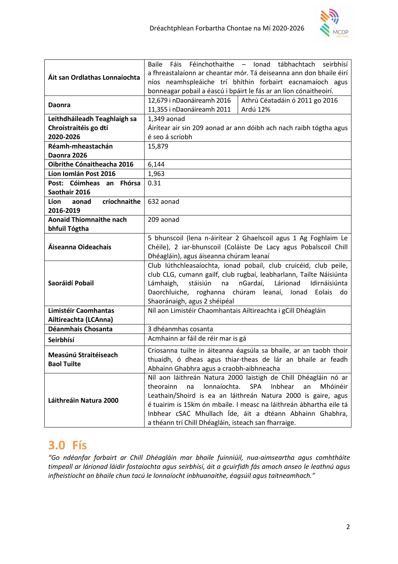

| Áit san Ordlathas Lonnaíochta               | Baile Fáis Féinchothaithe - Ionad tábhachtach<br>seirbhísí                 |  |  |
|---------------------------------------------|----------------------------------------------------------------------------|--|--|
|                                             | a fhreastalaíonn ar cheantar mór. Tá deiseanna ann don bhaile éirí         |  |  |
|                                             | níos neamhspleáiche trí bhíthin forbairt eacnamaíoch agus                  |  |  |
|                                             | bonneagar pobail a éascú i bpáirt le fás ar an líon cónaitheoirí.          |  |  |
| <b>Daonra</b>                               | 12,679 i nDaonáireamh 2016<br>Athrú Céatadáin ó 2011 go 2016               |  |  |
|                                             | 11,355 i nDaonáireamh 2011<br>Ardú 12%                                     |  |  |
| Leithdháileadh Teaghlaigh sa                | 1,349 aonad                                                                |  |  |
| Chroístraitéis go dtí                       | Áirítear air sin 209 aonad ar ann dóibh ach nach raibh tógtha agus         |  |  |
| 2020-2026                                   | é seo á scríobh                                                            |  |  |
| Réamh-mheastachán                           | 15,879                                                                     |  |  |
| Daonra 2026                                 |                                                                            |  |  |
| Oibrithe Cónaitheacha 2016                  | 6,144                                                                      |  |  |
| Líon Iomlán Post 2016                       | 1,963                                                                      |  |  |
| Post: Cóimheas an Fhórsa                    | 0.31                                                                       |  |  |
| Saothair 2016                               |                                                                            |  |  |
| <b>Líon</b><br>críochnaithe<br>aonad        | 632 aonad                                                                  |  |  |
| 2016-2019                                   |                                                                            |  |  |
| <b>Aonaid Thiomnaithe nach</b>              | 209 aonad                                                                  |  |  |
| bhfuil Tógtha                               |                                                                            |  |  |
|                                             | 5 bhunscoil (lena n-áirítear 2 Ghaelscoil agus 1 Ag Foghlaim Le            |  |  |
| Áiseanna Oideachais                         | Chéile), 2 iar-bhunscoil (Coláiste De Lacy agus Pobalscoil Chill           |  |  |
|                                             | Dhéagláin), agus áiseanna chúram leanaí                                    |  |  |
|                                             | Club lúthchleasaíochta, ionad pobail, club cruicéid, club peile,           |  |  |
|                                             | club CLG, cumann gailf, club rugbaí, leabharlann, Tailte Náisiúnta         |  |  |
| Saoráidí Pobail                             | stáisiún<br>nGardaí,<br>Lárionad<br>Idirnáisiúnta<br>Lámhaigh,<br>na       |  |  |
|                                             | Daorchluiche, roghanna<br>chúram leanaí, Ionad<br>Eolais<br>do             |  |  |
|                                             | Shaoránaigh, agus 2 shéipéal                                               |  |  |
| Limistéir Caomhantas                        | Níl aon Limistéir Chaomhantais Ailtireachta i gCill Dhéagláin              |  |  |
| Ailtireachta (LCAnna)<br>Déanmhais Chosanta |                                                                            |  |  |
|                                             | 3 dhéanmhas cosanta                                                        |  |  |
| Seirbhísí                                   | Acmhainn ar fáil de réir mar is gá                                         |  |  |
| Measúnú Straitéiseach                       | Criosanna tuilte in áiteanna éagsúla sa bhaile, ar an taobh thoir          |  |  |
| <b>Baol Tuilte</b>                          | thuaidh, ó dheas agus thiar-theas de lár an bhaile ar feadh                |  |  |
|                                             | Abhainn Ghabhra agus a craobh-aibhneacha                                   |  |  |
| Láithreáin Natura 2000                      | Níl aon láithreán Natura 2000 laistigh de Chill Dhéagláin nó ar            |  |  |
|                                             | lonnaíochta.<br><b>SPA</b><br>Inbhear<br>theorainn<br>Mhóinéir<br>na<br>an |  |  |
|                                             | Leathain/Shoird is ea an láithreán Natura 2000 is gaire, agus              |  |  |
|                                             | é tuairim is 15km ón mbaile. I measc na láithreán ábhartha eile tá         |  |  |
|                                             | Inbhear cSAC Mhullach Íde, áit a dtéann Abhainn Ghabhra,                   |  |  |
|                                             | a théann trí Chill Dhéagláin, isteach san fharraige.                       |  |  |

# 3.0 Fís

"Go ndéanfar forbairt ar Chill Dhéagláin mar bhaile fuinniúil, nua-aimseartha agus comhtháite timpeall ar lárionad láidir fostaíochta agus seirbhísí, áit a gcuirfidh fás amach anseo le leathnú agus infheistíocht an bhaile chun tacú le lonnaíocht inbhuanaithe, éagsúil agus taitneamhach."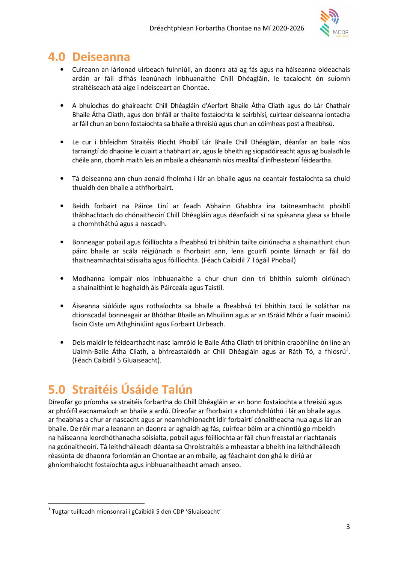

# 4.0 Deiseanna

- Cuireann an lárionad uirbeach fuinniúil, an daonra atá ag fás agus na háiseanna oideachais ardán ar fáil d'fhás leanúnach inbhuanaithe Chill Dhéagláin, le tacaíocht ón suíomh straitéiseach atá aige i ndeisceart an Chontae.
- A bhuíochas do ghaireacht Chill Dhéagláin d'Aerfort Bhaile Átha Cliath agus do Lár Chathair Bhaile Átha Cliath, agus don bhfáil ar thailte fostaíochta le seirbhísí, cuirtear deiseanna iontacha ar fáil chun an bonn fostaíochta sa bhaile a threisiú agus chun an cóimheas post a fheabhsú.
- Le cur i bhfeidhm Straitéis Ríocht Phoiblí Lár Bhaile Chill Dhéagláin, déanfar an baile níos tarraingtí do dhaoine le cuairt a thabhairt air, agus le bheith ag siopadóireacht agus ag bualadh le chéile ann, chomh maith leis an mbaile a dhéanamh níos mealltaí d'infheisteoirí féideartha.
- Tá deiseanna ann chun aonaid fholmha i lár an bhaile agus na ceantair fostaíochta sa chuid thuaidh den bhaile a athfhorbairt.
- Beidh forbairt na Páirce Líní ar feadh Abhainn Ghabhra ina taitneamhacht phoiblí thábhachtach do chónaitheoirí Chill Dhéagláin agus déanfaidh sí na spásanna glasa sa bhaile a chomhtháthú agus a nascadh.
- Bonneagar pobail agus fóillíochta a fheabhsú trí bhíthin tailte oiriúnacha a shainaithint chun páirc bhaile ar scála réigiúnach a fhorbairt ann, lena gcuirfí pointe lárnach ar fáil do thaitneamhachtaí sóisialta agus fóillíochta. (Féach Caibidil 7 Tógáil Phobail)
- Modhanna iompair níos inbhuanaithe a chur chun cinn trí bhíthin suíomh oiriúnach a shainaithint le haghaidh áis Páirceála agus Taistil.
- Áiseanna siúlóide agus rothaíochta sa bhaile a fheabhsú trí bhíthin tacú le soláthar na dtionscadal bonneagair ar Bhóthar Bhaile an Mhuilinn agus ar an tSráid Mhór a fuair maoiniú faoin Ciste um Athghiniúint agus Forbairt Uirbeach.
- Deis maidir le féidearthacht nasc iarnróid le Baile Átha Cliath trí bhíthin craobhlíne ón líne an Uaimh-Baile Átha Cliath, a bhfreastalódh ar Chill Dhéagláin agus ar Ráth Tó, a fhiosrú<sup>1</sup>. (Féach Caibidil 5 Gluaiseacht).

# 5.0 Straitéis Úsáide Talún

Díreofar go príomha sa straitéis forbartha do Chill Dhéagláin ar an bonn fostaíochta a threisiú agus ar phróifíl eacnamaíoch an bhaile a ardú. Díreofar ar fhorbairt a chomhdhlúthú i lár an bhaile agus ar fheabhas a chur ar nascacht agus ar neamhdhíonacht idir forbairtí cónaitheacha nua agus lár an bhaile. De réir mar a leanann an daonra ar aghaidh ag fás, cuirfear béim ar a chinntiú go mbeidh na háiseanna leordhóthanacha sóisialta, pobail agus fóillíochta ar fáil chun freastal ar riachtanais na gcónaitheoirí. Tá leithdháileadh déanta sa Chroístraitéis a mheastar a bheith ina leithdháileadh réasúnta de dhaonra foriomlán an Chontae ar an mbaile, ag féachaint don ghá le díriú ar ghníomhaíocht fostaíochta agus inbhuanaitheacht amach anseo.

 $\overline{a}$ 

<sup>&</sup>lt;sup>1</sup> Tugtar tuilleadh mionsonraí i gCaibidil 5 den CDP 'Gluaiseacht'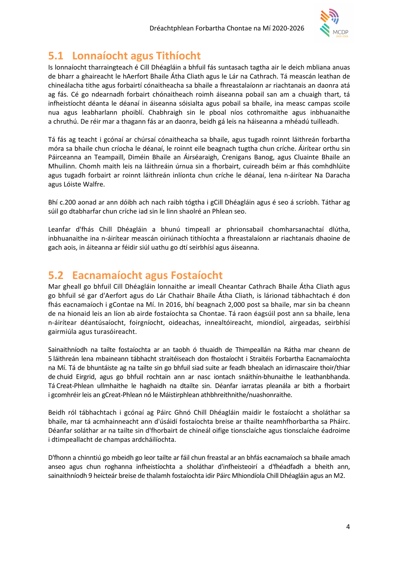

## 5.1 Lonnaíocht agus Tithíocht

Is lonnaíocht tharraingteach é Cill Dhéagláin a bhfuil fás suntasach tagtha air le deich mbliana anuas de bharr a ghaireacht le hAerfort Bhaile Átha Cliath agus le Lár na Cathrach. Tá meascán leathan de chineálacha tithe agus forbairtí cónaitheacha sa bhaile a fhreastalaíonn ar riachtanais an daonra atá ag fás. Cé go ndearnadh forbairt chónaitheach roimh áiseanna pobail san am a chuaigh thart, tá infheistíocht déanta le déanaí in áiseanna sóisialta agus pobail sa bhaile, ina measc campas scoile nua agus leabharlann phoiblí. Chabhraigh sin le pboal níos cothromaithe agus inbhuanaithe a chruthú. De réir mar a thagann fás ar an daonra, beidh gá leis na háiseanna a mhéadú tuilleadh.

Tá fás ag teacht i gcónaí ar chúrsaí cónaitheacha sa bhaile, agus tugadh roinnt láithreán forbartha móra sa bhaile chun críocha le déanaí, le roinnt eile beagnach tugtha chun críche. Áirítear orthu sin Páirceanna an Teampaill, Diméin Bhaile an Áirséaraigh, Crenigans Banog, agus Cluainte Bhaile an Mhuilinn. Chomh maith leis na láithreáin úrnua sin a fhorbairt, cuireadh béim ar fhás comhdhlúite agus tugadh forbairt ar roinnt láithreán inlíonta chun críche le déanaí, lena n-áirítear Na Daracha agus Lóiste Walfre.

Bhí c.200 aonad ar ann dóibh ach nach raibh tógtha i gCill Dhéagláin agus é seo á scríobh. Táthar ag súil go dtabharfar chun críche iad sin le linn shaolré an Phlean seo.

Leanfar d'fhás Chill Dhéagláin a bhunú timpeall ar phrionsabail chomharsanachtaí dlútha, inbhuanaithe ina n-áirítear meascán oiriúnach tithíochta a fhreastalaíonn ar riachtanais dhaoine de gach aois, in áiteanna ar féidir siúl uathu go dtí seirbhísí agus áiseanna.

## 5.2 Eacnamaíocht agus Fostaíocht

Mar gheall go bhfuil Cill Dhéagláin lonnaithe ar imeall Cheantar Cathrach Bhaile Átha Cliath agus go bhfuil sé gar d'Aerfort agus do Lár Chathair Bhaile Átha Cliath, is lárionad tábhachtach é don fhás eacnamaíoch i gContae na Mí. In 2016, bhí beagnach 2,000 post sa bhaile, mar sin ba cheann de na hionaid leis an líon ab airde fostaíochta sa Chontae. Tá raon éagsúil post ann sa bhaile, lena n-áirítear déantúsaíocht, foirgníocht, oideachas, innealtóireacht, miondíol, airgeadas, seirbhísí gairmiúla agus turasóireacht.

Sainaithníodh na tailte fostaíochta ar an taobh ó thuaidh de Thimpeallán na Rátha mar cheann de 5 láithreán lena mbaineann tábhacht straitéiseach don fhostaíocht i Straitéis Forbartha Eacnamaíochta na Mí. Tá de bhuntáiste ag na tailte sin go bhfuil siad suite ar feadh bhealach an idirnascaire thoir/thiar de chuid Eirgrid, agus go bhfuil rochtain ann ar nasc iontach snáithín-bhunaithe le leathanbhanda. Tá Creat-Phlean ullmhaithe le haghaidh na dtailte sin. Déanfar iarratas pleanála ar bith a fhorbairt i gcomhréir leis an gCreat-Phlean nó le Máistirphlean athbhreithnithe/nuashonraithe.

Beidh ról tábhachtach i gcónaí ag Páirc Ghnó Chill Dhéagláin maidir le fostaíocht a sholáthar sa bhaile, mar tá acmhainneacht ann d'úsáidí fostaíochta breise ar thailte neamhfhorbartha sa Pháirc. Déanfar soláthar ar na tailte sin d'fhorbairt de chineál oifige tionsclaíche agus tionsclaíche éadroime i dtimpeallacht de champas ardcháilíochta.

D'fhonn a chinntiú go mbeidh go leor tailte ar fáil chun freastal ar an bhfás eacnamaíoch sa bhaile amach anseo agus chun roghanna infheistíochta a sholáthar d'infheisteoirí a d'fhéadfadh a bheith ann, sainaithníodh 9 heicteár breise de thalamh fostaíochta idir Páirc Mhiondíola Chill Dhéagláin agus an M2.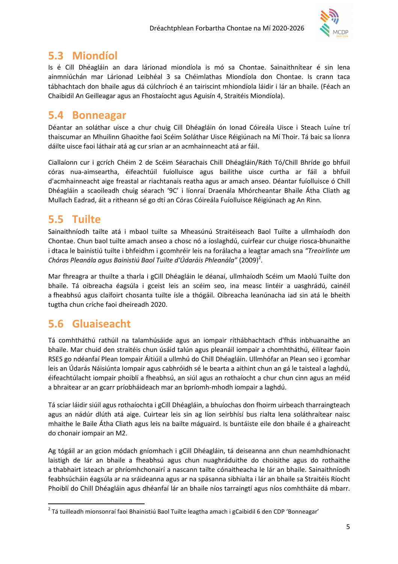

## 5.3 Miondíol

Is é Cill Dhéagláin an dara lárionad miondíola is mó sa Chontae. Sainaithnítear é sin lena ainmniúchán mar Lárionad Leibhéal 3 sa Chéimlathas Miondíola don Chontae. Is crann taca tábhachtach don bhaile agus dá cúlchríoch é an tairiscint mhiondíola láidir i lár an bhaile. (Féach an Chaibidil An Geilleagar agus an Fhostaíocht agus Aguisín 4, Straitéis Miondíola).

## 5.4 Bonneagar

Déantar an soláthar uisce a chur chuig Cill Dhéagláin ón Ionad Cóireála Uisce i Steach Luíne trí thaiscumar an Mhuilinn Ghaoithe faoi Scéim Soláthar Uisce Réigiúnach na Mí Thoir. Tá baic sa líonra dáilte uisce faoi láthair atá ag cur srian ar an acmhainneacht atá ar fáil.

Ciallaíonn cur i gcrích Chéim 2 de Scéim Séarachais Chill Dhéagláin/Ráth Tó/Chill Bhríde go bhfuil córas nua-aimseartha, éifeachtúil fuíolluisce agus bailithe uisce curtha ar fáil a bhfuil d'acmhainneacht aige freastal ar riachtanais reatha agus ar amach anseo. Déantar fuíolluisce ó Chill Dhéagláin a scaoileadh chuig séarach '9C' i líonraí Draenála Mhórcheantar Bhaile Átha Cliath ag Mullach Eadrad, áit a ritheann sé go dtí an Córas Cóireála Fuíolluisce Réigiúnach ag An Rinn.

## 5.5 Tuilte

Sainaithníodh tailte atá i mbaol tuilte sa Mheasúnú Straitéiseach Baol Tuilte a ullmhaíodh don Chontae. Chun baol tuilte amach anseo a chosc nó a íoslaghdú, cuirfear cur chuige riosca-bhunaithe i dtaca le bainistiú tuilte i bhfeidhm i gcomhréir leis na forálacha a leagtar amach sna "Treoirlínte um Chóras Pleanála agus Bainistiú Baol Tuilte d'Údaráis Phleanála" (2009) $^2$ .

Mar fhreagra ar thuilte a tharla i gCill Dhéagláin le déanaí, ullmhaíodh Scéim um Maolú Tuilte don bhaile. Tá oibreacha éagsúla i gceist leis an scéim seo, ina measc lintéir a uasghrádú, cainéil a fheabhsú agus claífoirt chosanta tuilte ísle a thógáil. Oibreacha leanúnacha iad sin atá le bheith tugtha chun críche faoi dheireadh 2020.

## 5.6 Gluaiseacht

 $\overline{a}$ 

Tá comhtháthú rathúil na talamhúsáide agus an iompair ríthábhachtach d'fhás inbhuanaithe an bhaile. Mar chuid den straitéis chun úsáid talún agus pleanáil iompair a chomhtháthú, éilítear faoin RSES go ndéanfaí Plean Iompair Áitiúil a ullmhú do Chill Dhéagláin. Ullmhófar an Plean seo i gcomhar leis an Údarás Náisiúnta Iompair agus cabhróidh sé le bearta a aithint chun an gá le taisteal a laghdú, éifeachtúlacht iompair phoiblí a fheabhsú, an siúl agus an rothaíocht a chur chun cinn agus an méid a bhraitear ar an gcarr príobháideach mar an bpríomh-mhodh iompair a laghdú.

Tá sciar láidir siúil agus rothaíochta i gCill Dhéagláin, a bhuíochas don fhoirm uirbeach tharraingteach agus an nádúr dlúth atá aige. Cuirtear leis sin ag líon seirbhísí bus rialta lena soláthraítear naisc mhaithe le Baile Átha Cliath agus leis na bailte máguaird. Is buntáiste eile don bhaile é a ghaireacht do chonair iompair an M2.

Ag tógáil ar an gcion módach gníomhach i gCill Dhéagláin, tá deiseanna ann chun neamhdhíonacht laistigh de lár an bhaile a fheabhsú agus chun nuaghráduithe do choisithe agus do rothaithe a thabhairt isteach ar phríomhchonairí a nascann tailte cónaitheacha le lár an bhaile. Sainaithníodh feabhsúcháin éagsúla ar na sráideanna agus ar na spásanna sibhialta i lár an bhaile sa Straitéis Ríocht Phoiblí do Chill Dhéagláin agus dhéanfaí lár an bhaile níos tarraingtí agus níos comhtháite dá mbarr.

<sup>&</sup>lt;sup>2</sup> Tá tuilleadh mionsonraí faoi Bhainistiú Baol Tuilte leagtha amach i gCaibidil 6 den CDP 'Bonneagar'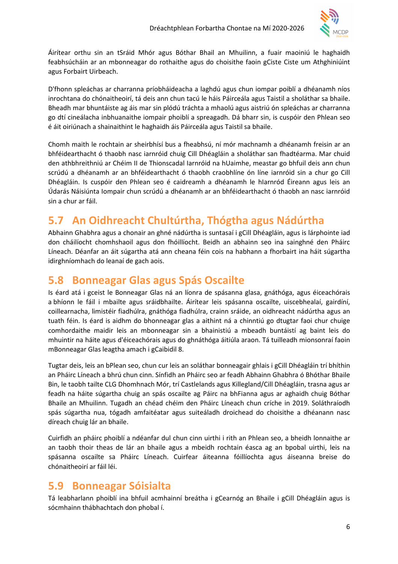

Áirítear orthu sin an tSráid Mhór agus Bóthar Bhail an Mhuilinn, a fuair maoiniú le haghaidh feabhsúcháin ar an mbonneagar do rothaithe agus do choisithe faoin gCiste Ciste um Athghiniúint agus Forbairt Uirbeach.

D'fhonn spleáchas ar charranna príobháideacha a laghdú agus chun iompar poiblí a dhéanamh níos inrochtana do chónaitheoirí, tá deis ann chun tacú le háis Páirceála agus Taistil a sholáthar sa bhaile. Bheadh mar bhuntáiste ag áis mar sin plódú tráchta a mhaolú agus aistriú ón spleáchas ar charranna go dtí cineálacha inbhuanaithe iompair phoiblí a spreagadh. Dá bharr sin, is cuspóir den Phlean seo é áit oiriúnach a shainaithint le haghaidh áis Páirceála agus Taistil sa bhaile.

Chomh maith le rochtain ar sheirbhísí bus a fheabhsú, ní mór machnamh a dhéanamh freisin ar an bhféidearthacht ó thaobh nasc iarnróid chuig Cill Dhéagláin a sholáthar san fhadtéarma. Mar chuid den athbhreithniú ar Chéim II de Thionscadal Iarnróid na hUaimhe, meastar go bhfuil deis ann chun scrúdú a dhéanamh ar an bhféidearthacht ó thaobh craobhlíne ón líne iarnróid sin a chur go Cill Dhéagláin. Is cuspóir den Phlean seo é caidreamh a dhéanamh le hIarnród Éireann agus leis an Údarás Náisiúnta Iompair chun scrúdú a dhéanamh ar an bhféidearthacht ó thaobh an nasc iarnróid sin a chur ar fáil.

## 5.7 An Oidhreacht Chultúrtha, Thógtha agus Nádúrtha

Abhainn Ghabhra agus a chonair an ghné nádúrtha is suntasaí i gCill Dhéagláin, agus is lárphointe iad don cháilíocht chomhshaoil agus don fhóillíocht. Beidh an abhainn seo ina sainghné den Pháirc Líneach. Déanfar an áit súgartha atá ann cheana féin cois na habhann a fhorbairt ina háit súgartha idirghníomhach do leanaí de gach aois.

### 5.8 Bonneagar Glas agus Spás Oscailte

Is éard atá i gceist le Bonneagar Glas ná an líonra de spásanna glasa, gnáthóga, agus éiceachórais a bhíonn le fáil i mbailte agus sráidbhailte. Áirítear leis spásanna oscailte, uiscebhealaí, gairdíní, coillearnacha, limistéir fiadhúlra, gnáthóga fiadhúlra, crainn sráide, an oidhreacht nádúrtha agus an tuath féin. Is éard is aidhm do bhonneagar glas a aithint ná a chinntiú go dtugtar faoi chur chuige comhordaithe maidir leis an mbonneagar sin a bhainistiú a mbeadh buntáistí ag baint leis do mhuintir na háite agus d'éiceachórais agus do ghnáthóga áitiúla araon. Tá tuilleadh mionsonraí faoin mBonneagar Glas leagtha amach i gCaibidil 8.

Tugtar deis, leis an bPlean seo, chun cur leis an soláthar bonneagair ghlais i gCill Dhéagláin trí bhíthin an Pháirc Líneach a bhrú chun cinn. Sínfidh an Pháirc seo ar feadh Abhainn Ghabhra ó Bhóthar Bhaile Bin, le taobh tailte CLG Dhomhnach Mór, trí Castlelands agus Killegland/Cill Dhéagláin, trasna agus ar feadh na háite súgartha chuig an spás oscailte ag Páirc na bhFianna agus ar aghaidh chuig Bóthar Bhaile an Mhuilinn. Tugadh an chéad chéim den Pháirc Líneach chun críche in 2019. Soláthraíodh spás súgartha nua, tógadh amfaitéatar agus suiteáladh droichead do choisithe a dhéanann nasc díreach chuig lár an bhaile.

Cuirfidh an pháirc phoiblí a ndéanfar dul chun cinn uirthi i rith an Phlean seo, a bheidh lonnaithe ar an taobh thoir theas de lár an bhaile agus a mbeidh rochtain éasca ag an bpobal uirthi, leis na spásanna oscailte sa Pháirc Líneach. Cuirfear áiteanna fóillíochta agus áiseanna breise do chónaitheoirí ar fáil léi.

## 5.9 Bonneagar Sóisialta

Tá leabharlann phoiblí ina bhfuil acmhainní breátha i gCearnóg an Bhaile i gCill Dhéagláin agus is sócmhainn thábhachtach don phobal í.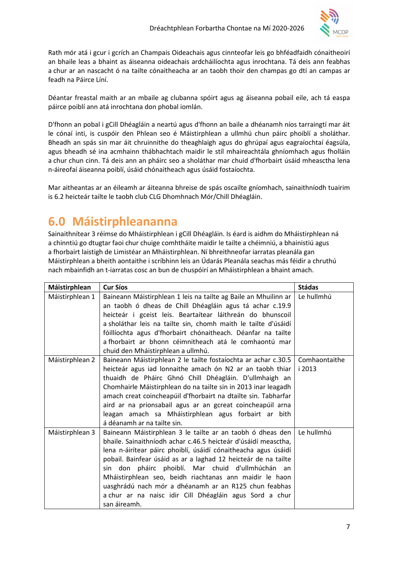

Rath mór atá i gcur i gcrích an Champais Oideachais agus cinnteofar leis go bhféadfaidh cónaitheoirí an bhaile leas a bhaint as áiseanna oideachais ardcháilíochta agus inrochtana. Tá deis ann feabhas a chur ar an nascacht ó na tailte cónaitheacha ar an taobh thoir den champas go dtí an campas ar feadh na Páirce Líní.

Déantar freastal maith ar an mbaile ag clubanna spóirt agus ag áiseanna pobail eile, ach tá easpa páirce poiblí ann atá inrochtana don phobal iomlán.

D'fhonn an pobal i gCill Dhéagláin a neartú agus d'fhonn an baile a dhéanamh níos tarraingtí mar áit le cónaí inti, is cuspóir den Phlean seo é Máistirphlean a ullmhú chun páirc phoiblí a sholáthar. Bheadh an spás sin mar áit chruinnithe do theaghlaigh agus do ghrúpaí agus eagraíochtaí éagsúla, agus bheadh sé ina acmhainn thábhachtach maidir le stíl mhaireachtála ghníomhach agus fholláin a chur chun cinn. Tá deis ann an pháirc seo a sholáthar mar chuid d'fhorbairt úsáid mheasctha lena n-áireofaí áiseanna poiblí, úsáid chónaitheach agus úsáid fostaíochta.

Mar aitheantas ar an éileamh ar áiteanna bhreise de spás oscailte gníomhach, sainaithníodh tuairim is 6.2 heicteár tailte le taobh club CLG Dhomhnach Mór/Chill Dhéagláin.

# 6.0 Máistirphleananna

Sainaithnítear 3 réimse do Mháistirphlean i gCill Dhéagláin. Is éard is aidhm do Mháistirphlean ná a chinntiú go dtugtar faoi chur chuige comhtháite maidir le tailte a chéimniú, a bhainistiú agus a fhorbairt laistigh de Limistéar an Mháistirphlean. Ní bhreithneofar iarratas pleanála gan Máistirphlean a bheith aontaithe i scríbhinn leis an Údarás Pleanála seachas más féidir a chruthú nach mbainfidh an t-iarratas cosc an bun de chuspóirí an Mháistirphlean a bhaint amach.

| Máistirphlean   | <b>Cur Síos</b>                                                                                                                                                                                                                                                                                                                                                                                                                                                                                                      | <b>Stádas</b>           |
|-----------------|----------------------------------------------------------------------------------------------------------------------------------------------------------------------------------------------------------------------------------------------------------------------------------------------------------------------------------------------------------------------------------------------------------------------------------------------------------------------------------------------------------------------|-------------------------|
| Máistirphlean 1 | Baineann Máistirphlean 1 leis na tailte ag Baile an Mhuilinn ar<br>an taobh ó dheas de Chill Dhéagláin agus tá achar c.19.9<br>heicteár i gceist leis. Beartaítear láithreán do bhunscoil<br>a sholáthar leis na tailte sin, chomh maith le tailte d'úsáidí<br>fóillíochta agus d'fhorbairt chónaitheach. Déanfar na tailte<br>a fhorbairt ar bhonn céimnitheach atá le comhaontú mar                                                                                                                                | Le hullmhú              |
|                 | chuid den Mháistirphlean a ullmhú.                                                                                                                                                                                                                                                                                                                                                                                                                                                                                   |                         |
| Máistirphlean 2 | Baineann Máistirphlean 2 le tailte fostaíochta ar achar c.30.5<br>heicteár agus iad lonnaithe amach ón N2 ar an taobh thiar<br>thuaidh de Pháirc Ghnó Chill Dhéagláin. D'ullmhaigh an<br>Chomhairle Máistirphlean do na tailte sin in 2013 inar leagadh<br>amach creat coincheapúil d'fhorbairt na dtailte sin. Tabharfar<br>aird ar na prionsabail agus ar an gcreat coincheapúil arna<br>leagan amach sa Mháistirphlean agus forbairt ar bith<br>á déanamh ar na tailte sin.                                       | Comhaontaithe<br>i 2013 |
| Máistirphlean 3 | Baineann Máistirphlean 3 le tailte ar an taobh ó dheas den<br>bhaile. Sainaithníodh achar c.46.5 heicteár d'úsáidí measctha,<br>lena n-áirítear páirc phoiblí, úsáidí cónaitheacha agus úsáidí<br>pobail. Bainfear úsáid as ar a laghad 12 heicteár de na tailte<br>sin don pháirc phoiblí. Mar chuid d'ullmhúchán an<br>Mháistirphlean seo, beidh riachtanas ann maidir le haon<br>uasghrádú nach mór a dhéanamh ar an R125 chun feabhas<br>a chur ar na naisc idir Cill Dhéagláin agus Sord a chur<br>san áireamh. | Le hullmhú              |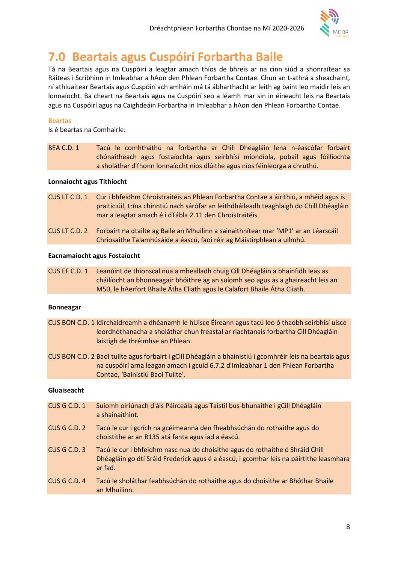

# 7.0 Beartais agus Cuspóirí Forbartha Baile

Tá na Beartais agus na Cuspóirí a leagtar amach thíos de bhreis ar na cinn siúd a shonraítear sa Ráiteas i Scríbhinn in Imleabhar a hAon den Phlean Forbartha Contae. Chun an t-athrá a sheachaint, ní athluaitear Beartais agus Cuspóirí ach amháin má tá ábharthacht ar leith ag baint leo maidir leis an lonnaíocht. Ba cheart na Beartais agus na Cuspóirí seo a léamh mar sin in éineacht leis na Beartais agus na Cuspóirí agus na Caighdeáin Forbartha in Imleabhar a hAon den Phlean Forbartha Contae.

### Beartas

Is é beartas na Comhairle:

BEA C.D. 1 Tacú le comhtháthú na forbartha ar Chill Dhéagláin lena n-éascófar forbairt chónaitheach agus fostaíochta agus seirbhísí miondíola, pobail agus fóillíochta a sholáthar d'fhonn lonnaíocht níos dlúithe agus níos féinleorga a chruthú.

### Lonnaíocht agus Tithíocht

- CUS LT C.D. 1 Cur i bhfeidhm Chroístraitéis an Phlean Forbartha Contae a áirithiú, a mhéid agus is praiticiúil, trína chinntiú nach sárófar an leithdháileadh teaghlaigh do Chill Dhéagláin mar a leagtar amach é i dTábla 2.11 den Chroístraitéis.
- CUS LT C.D. 2 Forbairt na dtailte ag Baile an Mhuilinn a sainaithnítear mar 'MP1' ar an Léarscáil Chriosaithe Talamhúsáide a éascú, faoi réir ag Máistirphlean a ullmhú.

### Eacnamaíocht agus Fostaíocht

CUS EF C.D. 1 Leanúint de thionscal nua a mhealladh chuig Cill Dhéagláin a bhainfidh leas as cháilíocht an bhonneagair bhóithre ag an suíomh seo agus as a ghaireacht leis an M50, le hAerfort Bhaile Átha Cliath agus le Calafort Bhaile Átha Cliath.

#### Bonneagar

- CUS BON C.D. 1 Idirchaidreamh a dhéanamh le hUisce Éireann agus tacú leo ó thaobh seirbhísí uisce leordhóthanacha a sholáthar chun freastal ar riachtanais forbartha Cill Dhéagláin laistigh de thréimhse an Phlean.
- CUS BON C.D. 2 Baol tuilte agus forbairt i gCill Dhéagláin a bhainistiú i gcomhréir leis na beartais agus na cuspóirí arna leagan amach i gcuid 6.7.2 d'Imleabhar 1 den Phlean Forbartha Contae, 'Bainistiú Baol Tuilte'.

#### Gluaiseacht

- CUS G C.D. 1 Suíomh oiriúnach d'áis Páirceála agus Taistil bus-bhunaithe i gCill Dhéagláin a shainaithint.
- CUS G C.D. 2 Tacú le cur i gcrích na gcéimeanna den fheabhsúchán do rothaithe agus do choistithe ar an R135 atá fanta agus iad a éascú.
- CUS G C.D. 3 Tacú le cur i bhfeidhm nasc nua do choisithe agus do rothaithe ó Shráid Chill Dhéagláin go dtí Sráid Frederick agus é a éascú, i gcomhar leis na páirtithe leasmhara ar fad.
- CUS G C.D. 4 Tacú le sholáthar feabhsúchán do rothaithe agus do choisithe ar Bhóthar Bhaile an Mhuilinn.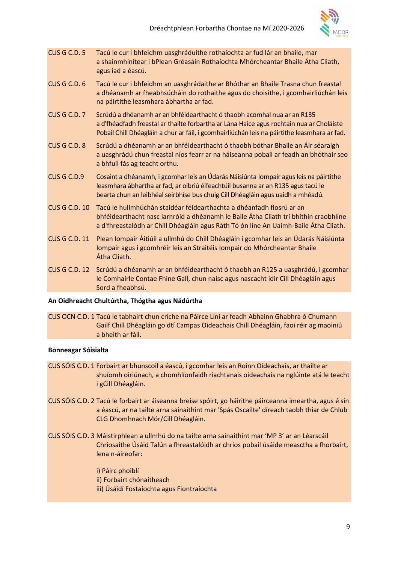

- CUS G C.D. 5 Tacú le cur i bhfeidhm uasghráduithe rothaíochta ar fud lár an bhaile, mar a shainmhínítear i bPlean Gréasáin Rothaíochta Mhórcheantar Bhaile Átha Cliath, agus iad a éascú.
- CUS G C.D. 6 Tacú le cur i bhfeidhm an uasghrádaithe ar Bhóthar an Bhaile Trasna chun freastal a dhéanamh ar fheabhsúcháin do rothaithe agus do choisithe, i gcomhairliúchán leis na páirtithe leasmhara ábhartha ar fad.
- CUS G C.D. 7 Scrúdú a dhéanamh ar an bhféidearthacht ó thaobh acomhal nua ar an R135 a d'fhéadfadh freastal ar thailte forbartha ar Lána Haice agus rochtain nua ar Choláiste Pobail Chill Dhéagláin a chur ar fáil, i gcomhairliúchán leis na páirtithe leasmhara ar fad.
- CUS G C.D. 8 Scrúdú a dhéanamh ar an bhféidearthacht ó thaobh bóthar Bhaile an Áir séaraigh a uasghrádú chun freastal níos fearr ar na háiseanna pobail ar feadh an bhóthair seo a bhfuil fás ag teacht orthu.
- CUS G C.D.9 Cosaint a dhéanamh, i gcomhar leis an Údarás Náisiúnta Iompair agus leis na páirtithe leasmhara ábhartha ar fad, ar oibriú éifeachtúil busanna ar an R135 agus tacú le bearta chun an leibhéal seirbhíse bus chuig Cill Dhéagláin agus uaidh a mhéadú.
- CUS G C.D. 10 Tacú le hullmhúchán staidéar féidearthachta a dhéanfadh fiosrú ar an bhféidearthacht nasc iarnróid a dhéanamh le Baile Átha Cliath trí bhíthin craobhlíne a d'fhreastalódh ar Chill Dhéagláin agus Ráth Tó ón líne An Uaimh-Baile Átha Cliath.
- CUS G C.D. 11 Plean Iompair Áitiúil a ullmhú do Chill Dhéagláin i gcomhar leis an Údarás Náisiúnta Iompair agus i gcomhréir leis an Straitéis Iompair do Mhórcheantar Bhaile Átha Cliath.
- CUS G C.D. 12 Scrúdú a dhéanamh ar an bhféidearthacht ó thaobh an R125 a uasghrádú, i gcomhar le Comhairle Contae Fhine Gall, chun naisc agus nascacht idir Cill Dhéagláin agus Sord a fheabhsú.

### An Oidhreacht Chultúrtha, Thógtha agus Nádúrtha

CUS OCN C.D. 1 Tacú le tabhairt chun críche na Páirce Líní ar feadh Abhainn Ghabhra ó Chumann Gailf Chill Dhéagláin go dtí Campas Oideachais Chill Dhéagláin, faoi réir ag maoiniú a bheith ar fáil.

### Bonneagar Sóisialta

- CUS SÓIS C.D. 1 Forbairt ar bhunscoil a éascú, i gcomhar leis an Roinn Oideachais, ar thailte ar shuíomh oiriúnach, a chomhlíonfaidh riachtanais oideachais na nglúinte atá le teacht i gCill Dhéagláin.
- CUS SÓIS C.D. 2 Tacú le forbairt ar áiseanna breise spóirt, go háirithe páirceanna imeartha, agus é sin a éascú, ar na tailte arna sainaithint mar 'Spás Oscailte' díreach taobh thiar de Chlub CLG Dhomhnach Mór/Cill Dhéagláin.
- CUS SÓIS C.D. 3 Máistirphlean a ullmhú do na tailte arna sainaithint mar 'MP 3' ar an Léarscáil Chriosaithe Úsáid Talún a fhreastalóidh ar chrios pobail úsáide measctha a fhorbairt, lena n-áireofar:

 i) Páirc phoiblí ii) Forbairt chónaitheach iii) Úsáidí Fostaíochta agus Fiontraíochta